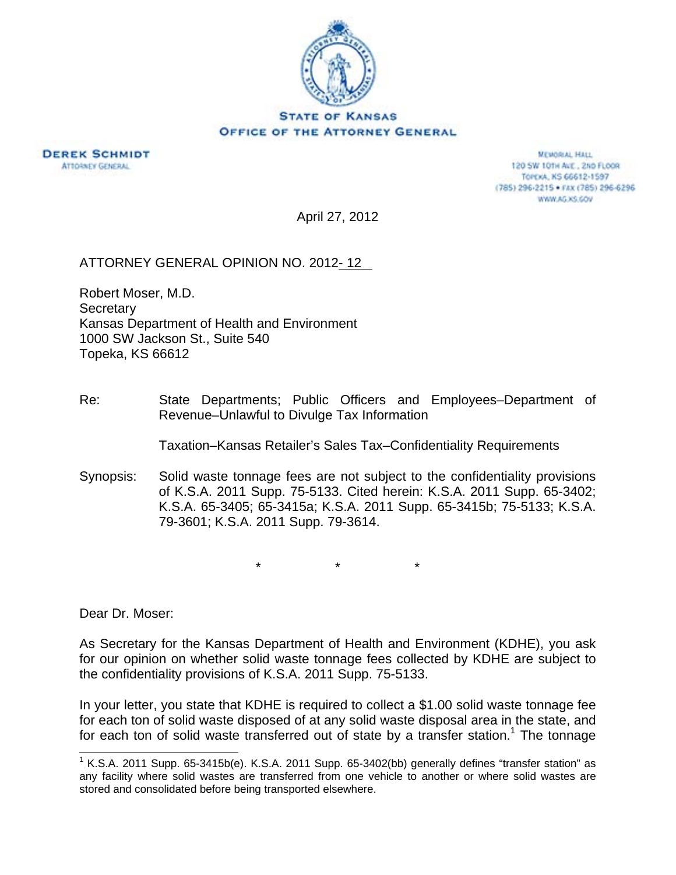



**MEMORIAL HALL** 120 SW 101H AVE., 2ND FLOOR TOPEXA, KS 66612-1597 (785) 296-2215 · FAX (785) 296-6296 WWW.AG.XS.GOV

April 27, 2012

## ATTORNEY GENERAL OPINION NO. 2012- 12

Robert Moser, M.D. **Secretary** Kansas Department of Health and Environment 1000 SW Jackson St., Suite 540 Topeka, KS 66612

Re: State Departments; Public Officers and Employees–Department of Revenue–Unlawful to Divulge Tax Information

Taxation–Kansas Retailer's Sales Tax–Confidentiality Requirements

Synopsis: Solid waste tonnage fees are not subject to the confidentiality provisions of K.S.A. 2011 Supp. 75-5133. Cited herein: K.S.A. 2011 Supp. 65-3402; K.S.A. 65-3405; 65-3415a; K.S.A. 2011 Supp. 65-3415b; 75-5133; K.S.A. 79-3601; K.S.A. 2011 Supp. 79-3614.

\* \* \*

Dear Dr. Moser:

l

As Secretary for the Kansas Department of Health and Environment (KDHE), you ask for our opinion on whether solid waste tonnage fees collected by KDHE are subject to the confidentiality provisions of K.S.A. 2011 Supp. 75-5133.

In your letter, you state that KDHE is required to collect a \$1.00 solid waste tonnage fee for each ton of solid waste disposed of at any solid waste disposal area in the state, and for each ton of solid waste transferred out of state by a transfer station.<sup>1</sup> The tonnage

<sup>&</sup>lt;sup>1</sup> K.S.A. 2011 Supp. 65-3415b(e). K.S.A. 2011 Supp. 65-3402(bb) generally defines "transfer station" as any facility where solid wastes are transferred from one vehicle to another or where solid wastes are stored and consolidated before being transported elsewhere.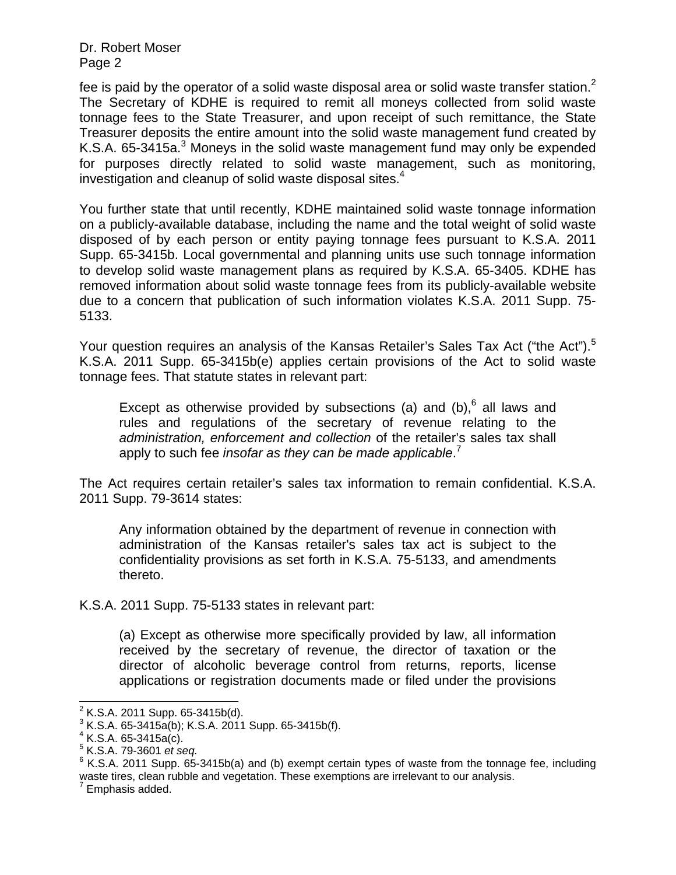Dr. Robert Moser Page 2

fee is paid by the operator of a solid waste disposal area or solid waste transfer station.<sup>2</sup> The Secretary of KDHE is required to remit all moneys collected from solid waste tonnage fees to the State Treasurer, and upon receipt of such remittance, the State Treasurer deposits the entire amount into the solid waste management fund created by K.S.A. 65-3415a. $3$  Moneys in the solid waste management fund may only be expended for purposes directly related to solid waste management, such as monitoring, investigation and cleanup of solid waste disposal sites.<sup>4</sup>

You further state that until recently, KDHE maintained solid waste tonnage information on a publicly-available database, including the name and the total weight of solid waste disposed of by each person or entity paying tonnage fees pursuant to K.S.A. 2011 Supp. 65-3415b. Local governmental and planning units use such tonnage information to develop solid waste management plans as required by K.S.A. 65-3405. KDHE has removed information about solid waste tonnage fees from its publicly-available website due to a concern that publication of such information violates K.S.A. 2011 Supp. 75- 5133.

Your question requires an analysis of the Kansas Retailer's Sales Tax Act ("the Act").<sup>5</sup> K.S.A. 2011 Supp. 65-3415b(e) applies certain provisions of the Act to solid waste tonnage fees. That statute states in relevant part:

Except as otherwise provided by subsections (a) and  $(b)$ ,  $6$  all laws and rules and regulations of the secretary of revenue relating to the *administration, enforcement and collection* of the retailer's sales tax shall apply to such fee *insofar as they can be made applicable*. 7

The Act requires certain retailer's sales tax information to remain confidential. K.S.A. 2011 Supp. 79-3614 states:

Any information obtained by the department of revenue in connection with administration of the Kansas retailer's sales tax act is subject to the confidentiality provisions as set forth in K.S.A. 75-5133, and amendments thereto.

K.S.A. 2011 Supp. 75-5133 states in relevant part:

(a) Except as otherwise more specifically provided by law, all information received by the secretary of revenue, the director of taxation or the director of alcoholic beverage control from returns, reports, license applications or registration documents made or filed under the provisions

 2 K.S.A. 2011 Supp. 65-3415b(d).

 $3$  K.S.A. 65-3415a(b); K.S.A. 2011 Supp. 65-3415b(f).

 $4$  K.S.A. 65-3415a(c).

<sup>5</sup> K.S.A. 79-3601 *et seq.* 6

 $6$  K.S.A. 2011 Supp. 65-3415b(a) and (b) exempt certain types of waste from the tonnage fee, including waste tires, clean rubble and vegetation. These exemptions are irrelevant to our analysis.

 $7$  Emphasis added.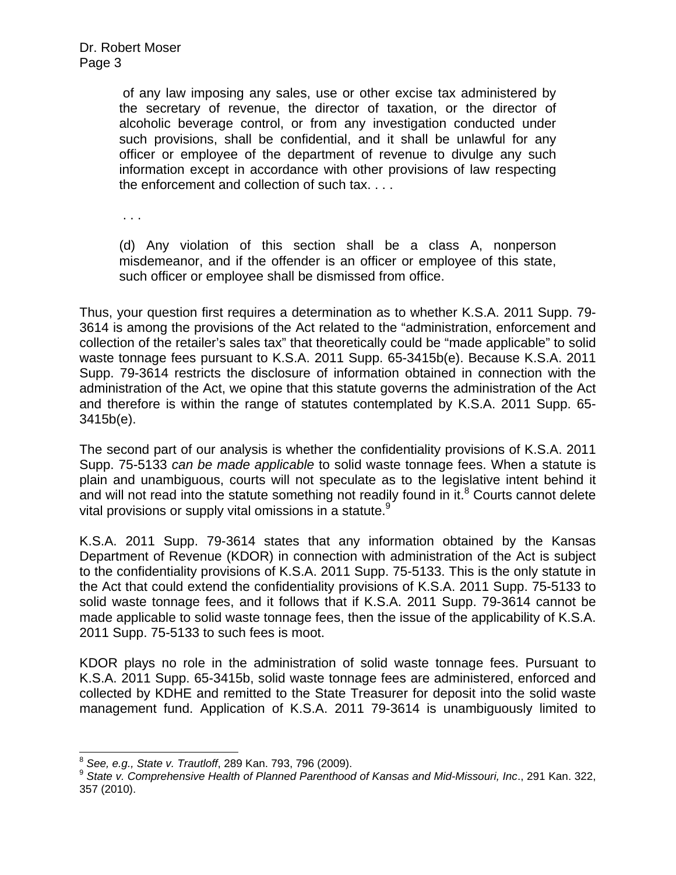of any law imposing any sales, use or other excise tax administered by the secretary of revenue, the director of taxation, or the director of alcoholic beverage control, or from any investigation conducted under such provisions, shall be confidential, and it shall be unlawful for any officer or employee of the department of revenue to divulge any such information except in accordance with other provisions of law respecting the enforcement and collection of such tax. . . .

. . .

(d) Any violation of this section shall be a class A, nonperson misdemeanor, and if the offender is an officer or employee of this state, such officer or employee shall be dismissed from office.

Thus, your question first requires a determination as to whether K.S.A. 2011 Supp. 79- 3614 is among the provisions of the Act related to the "administration, enforcement and collection of the retailer's sales tax" that theoretically could be "made applicable" to solid waste tonnage fees pursuant to K.S.A. 2011 Supp. 65-3415b(e). Because K.S.A. 2011 Supp. 79-3614 restricts the disclosure of information obtained in connection with the administration of the Act, we opine that this statute governs the administration of the Act and therefore is within the range of statutes contemplated by K.S.A. 2011 Supp. 65- 3415b(e).

The second part of our analysis is whether the confidentiality provisions of K.S.A. 2011 Supp. 75-5133 *can be made applicable* to solid waste tonnage fees. When a statute is plain and unambiguous, courts will not speculate as to the legislative intent behind it and will not read into the statute something not readily found in it. $8$  Courts cannot delete vital provisions or supply vital omissions in a statute.<sup>9</sup>

K.S.A. 2011 Supp. 79-3614 states that any information obtained by the Kansas Department of Revenue (KDOR) in connection with administration of the Act is subject to the confidentiality provisions of K.S.A. 2011 Supp. 75-5133. This is the only statute in the Act that could extend the confidentiality provisions of K.S.A. 2011 Supp. 75-5133 to solid waste tonnage fees, and it follows that if K.S.A. 2011 Supp. 79-3614 cannot be made applicable to solid waste tonnage fees, then the issue of the applicability of K.S.A. 2011 Supp. 75-5133 to such fees is moot.

KDOR plays no role in the administration of solid waste tonnage fees. Pursuant to K.S.A. 2011 Supp. 65-3415b, solid waste tonnage fees are administered, enforced and collected by KDHE and remitted to the State Treasurer for deposit into the solid waste management fund. Application of K.S.A. 2011 79-3614 is unambiguously limited to

 $8$  See, e.g., State v. Trautloff, 289 Kan. 793, 796 (2009).

<sup>&</sup>lt;sup>9</sup> State v. Comprehensive Health of Planned Parenthood of Kansas and Mid-Missouri, Inc., 291 Kan. 322, 357 (2010).